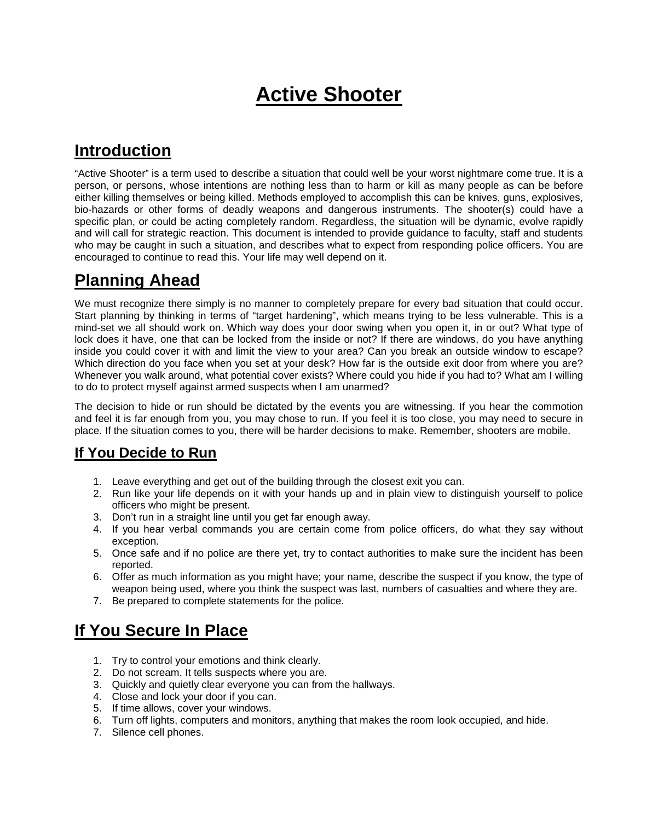# **Active Shooter**

### **Introduction**

"Active Shooter" is a term used to describe a situation that could well be your worst nightmare come true. It is a person, or persons, whose intentions are nothing less than to harm or kill as many people as can be before either killing themselves or being killed. Methods employed to accomplish this can be knives, guns, explosives, bio-hazards or other forms of deadly weapons and dangerous instruments. The shooter(s) could have a specific plan, or could be acting completely random. Regardless, the situation will be dynamic, evolve rapidly and will call for strategic reaction. This document is intended to provide guidance to faculty, staff and students who may be caught in such a situation, and describes what to expect from responding police officers. You are encouraged to continue to read this. Your life may well depend on it.

# **Planning Ahead**

We must recognize there simply is no manner to completely prepare for every bad situation that could occur. Start planning by thinking in terms of "target hardening", which means trying to be less vulnerable. This is a mind-set we all should work on. Which way does your door swing when you open it, in or out? What type of lock does it have, one that can be locked from the inside or not? If there are windows, do you have anything inside you could cover it with and limit the view to your area? Can you break an outside window to escape? Which direction do you face when you set at your desk? How far is the outside exit door from where you are? Whenever you walk around, what potential cover exists? Where could you hide if you had to? What am I willing to do to protect myself against armed suspects when I am unarmed?

The decision to hide or run should be dictated by the events you are witnessing. If you hear the commotion and feel it is far enough from you, you may chose to run. If you feel it is too close, you may need to secure in place. If the situation comes to you, there will be harder decisions to make. Remember, shooters are mobile.

#### **If You Decide to Run**

- 1. Leave everything and get out of the building through the closest exit you can.
- 2. Run like your life depends on it with your hands up and in plain view to distinguish yourself to police officers who might be present.
- 3. Don't run in a straight line until you get far enough away.
- 4. If you hear verbal commands you are certain come from police officers, do what they say without exception.
- 5. Once safe and if no police are there yet, try to contact authorities to make sure the incident has been reported.
- 6. Offer as much information as you might have; your name, describe the suspect if you know, the type of weapon being used, where you think the suspect was last, numbers of casualties and where they are.
- 7. Be prepared to complete statements for the police.

# **If You Secure In Place**

- 1. Try to control your emotions and think clearly.
- 2. Do not scream. It tells suspects where you are.
- 3. Quickly and quietly clear everyone you can from the hallways.
- 4. Close and lock your door if you can.
- 5. If time allows, cover your windows.
- 6. Turn off lights, computers and monitors, anything that makes the room look occupied, and hide.
- 7. Silence cell phones.